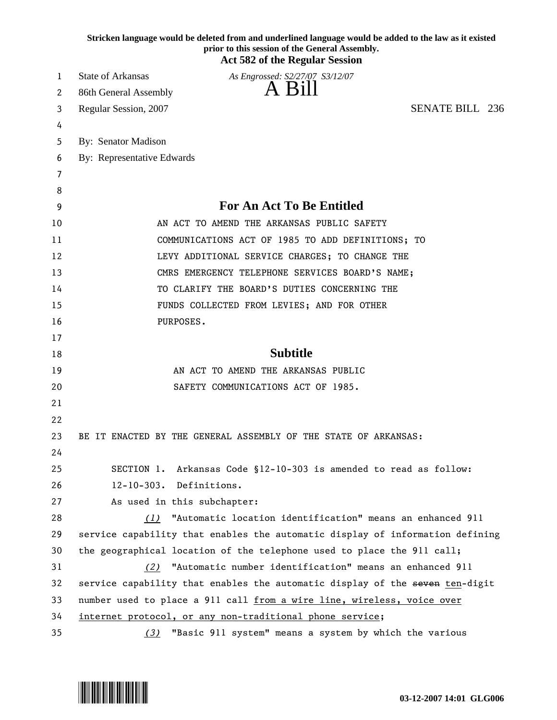|          | Stricken language would be deleted from and underlined language would be added to the law as it existed<br>prior to this session of the General Assembly.<br><b>Act 582 of the Regular Session</b> |
|----------|----------------------------------------------------------------------------------------------------------------------------------------------------------------------------------------------------|
| 1        | <b>State of Arkansas</b><br>As Engrossed: S2/27/07 S3/12/07                                                                                                                                        |
| 2        | A Bill<br>86th General Assembly                                                                                                                                                                    |
| 3        | <b>SENATE BILL 236</b><br>Regular Session, 2007                                                                                                                                                    |
| 4        |                                                                                                                                                                                                    |
| 5        | By: Senator Madison                                                                                                                                                                                |
| 6        | By: Representative Edwards                                                                                                                                                                         |
| 7        |                                                                                                                                                                                                    |
| 8        |                                                                                                                                                                                                    |
| 9        | <b>For An Act To Be Entitled</b>                                                                                                                                                                   |
| 10       | AN ACT TO AMEND THE ARKANSAS PUBLIC SAFETY                                                                                                                                                         |
| 11       | COMMUNICATIONS ACT OF 1985 TO ADD DEFINITIONS; TO                                                                                                                                                  |
| 12       | LEVY ADDITIONAL SERVICE CHARGES; TO CHANGE THE                                                                                                                                                     |
| 13       | CMRS EMERGENCY TELEPHONE SERVICES BOARD'S NAME;                                                                                                                                                    |
| 14       | TO CLARIFY THE BOARD'S DUTIES CONCERNING THE                                                                                                                                                       |
| 15       | FUNDS COLLECTED FROM LEVIES; AND FOR OTHER                                                                                                                                                         |
| 16       | PURPOSES.                                                                                                                                                                                          |
| 17       |                                                                                                                                                                                                    |
| 18       | <b>Subtitle</b>                                                                                                                                                                                    |
| 19       | AN ACT TO AMEND THE ARKANSAS PUBLIC                                                                                                                                                                |
| 20       | SAFETY COMMUNICATIONS ACT OF 1985.                                                                                                                                                                 |
| 21       |                                                                                                                                                                                                    |
| 22       |                                                                                                                                                                                                    |
| 23       | BE IT ENACTED BY THE GENERAL ASSEMBLY OF THE STATE OF ARKANSAS:                                                                                                                                    |
| 24       |                                                                                                                                                                                                    |
|          |                                                                                                                                                                                                    |
|          | Arkansas Code §12-10-303 is amended to read as follow:<br>SECTION 1.                                                                                                                               |
| 25<br>26 | $12 - 10 - 303$ .<br>Definitions.                                                                                                                                                                  |
| 27       | As used in this subchapter:                                                                                                                                                                        |
| 28       | "Automatic location identification" means an enhanced 911<br>(1)                                                                                                                                   |
| 29       | service capability that enables the automatic display of information defining                                                                                                                      |
| 30       | the geographical location of the telephone used to place the 911 call;                                                                                                                             |
| 31       | "Automatic number identification" means an enhanced 911<br>(2)                                                                                                                                     |
| 32       | service capability that enables the automatic display of the seven ten-digit                                                                                                                       |
| 33       | number used to place a 911 call from a wire line, wireless, voice over                                                                                                                             |
| 34       | internet protocol, or any non-traditional phone service;                                                                                                                                           |

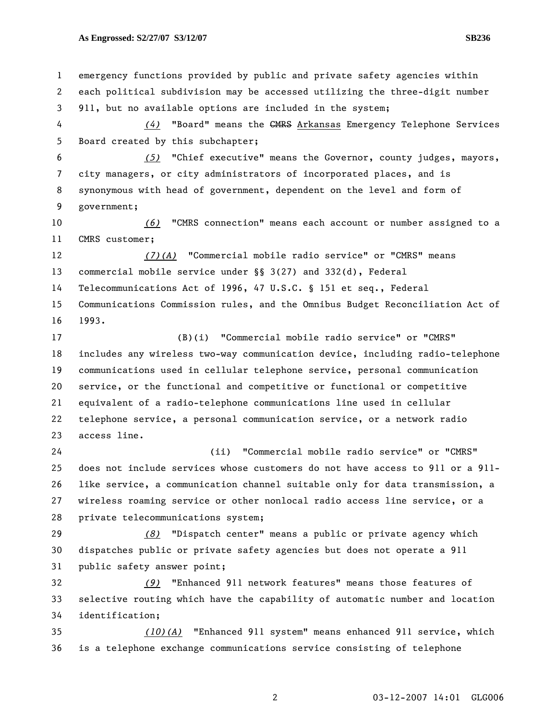1 emergency functions provided by public and private safety agencies within 2 each political subdivision may be accessed utilizing the three-digit number 3 911, but no available options are included in the system; 4 *(4)* "Board" means the CMRS Arkansas Emergency Telephone Services 5 Board created by this subchapter; 6 *(5)* "Chief executive" means the Governor, county judges, mayors, 7 city managers, or city administrators of incorporated places, and is 8 synonymous with head of government, dependent on the level and form of 9 government; 10 *(6)* "CMRS connection" means each account or number assigned to a 11 CMRS customer; 12 *(7)(A)* "Commercial mobile radio service" or "CMRS" means 13 commercial mobile service under §§ 3(27) and 332(d), Federal 14 Telecommunications Act of 1996, 47 U.S.C. § 151 et seq., Federal 15 Communications Commission rules, and the Omnibus Budget Reconciliation Act of 16 1993. 17 (B)(i) "Commercial mobile radio service" or "CMRS" 18 includes any wireless two-way communication device, including radio-telephone 19 communications used in cellular telephone service, personal communication 20 service, or the functional and competitive or functional or competitive 21 equivalent of a radio-telephone communications line used in cellular 22 telephone service, a personal communication service, or a network radio 23 access line. 24 (ii) "Commercial mobile radio service" or "CMRS" 25 does not include services whose customers do not have access to 911 or a 911- 26 like service, a communication channel suitable only for data transmission, a 27 wireless roaming service or other nonlocal radio access line service, or a 28 private telecommunications system; 29 *(8)* "Dispatch center" means a public or private agency which 30 dispatches public or private safety agencies but does not operate a 911 31 public safety answer point; 32 *(9)* "Enhanced 911 network features" means those features of 33 selective routing which have the capability of automatic number and location 34 identification; 35 *(10)(A)* "Enhanced 911 system" means enhanced 911 service, which 36 is a telephone exchange communications service consisting of telephone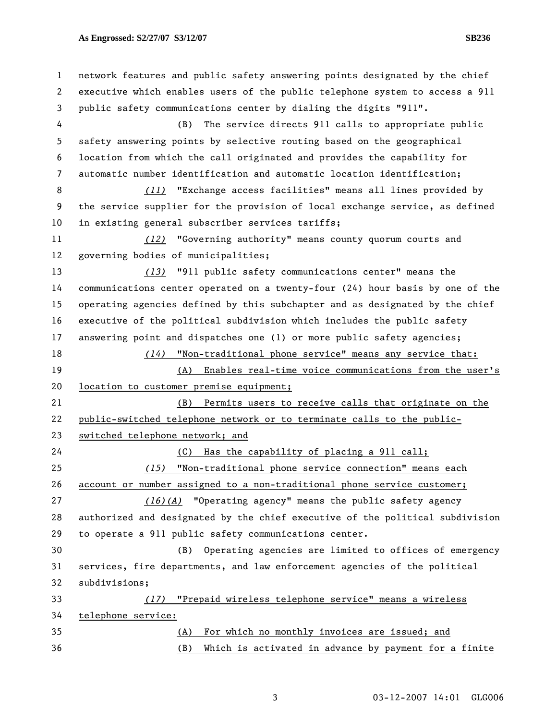1 network features and public safety answering points designated by the chief 2 executive which enables users of the public telephone system to access a 911 3 public safety communications center by dialing the digits "911". 4 (B) The service directs 911 calls to appropriate public 5 safety answering points by selective routing based on the geographical 6 location from which the call originated and provides the capability for 7 automatic number identification and automatic location identification; 8 *(11)* "Exchange access facilities" means all lines provided by 9 the service supplier for the provision of local exchange service, as defined 10 in existing general subscriber services tariffs; 11 *(12)* "Governing authority" means county quorum courts and 12 governing bodies of municipalities; 13 *(13)* "911 public safety communications center" means the 14 communications center operated on a twenty-four (24) hour basis by one of the 15 operating agencies defined by this subchapter and as designated by the chief 16 executive of the political subdivision which includes the public safety 17 answering point and dispatches one (1) or more public safety agencies; 18 *(14)* "Non-traditional phone service" means any service that: 19 (A) Enables real-time voice communications from the user's 20 location to customer premise equipment; 21 (B) Permits users to receive calls that originate on the 22 public-switched telephone network or to terminate calls to the public-23 switched telephone network; and 24 (C) Has the capability of placing a 911 call; 25 *(15)* "Non-traditional phone service connection" means each 26 account or number assigned to a non-traditional phone service customer; 27 *(16)(A)* "Operating agency" means the public safety agency 28 authorized and designated by the chief executive of the political subdivision 29 to operate a 911 public safety communications center. 30 (B) Operating agencies are limited to offices of emergency 31 services, fire departments, and law enforcement agencies of the political 32 subdivisions; 33 *(17)* "Prepaid wireless telephone service" means a wireless 34 telephone service: 35 (A) For which no monthly invoices are issued; and 36 (B) Which is activated in advance by payment for a finite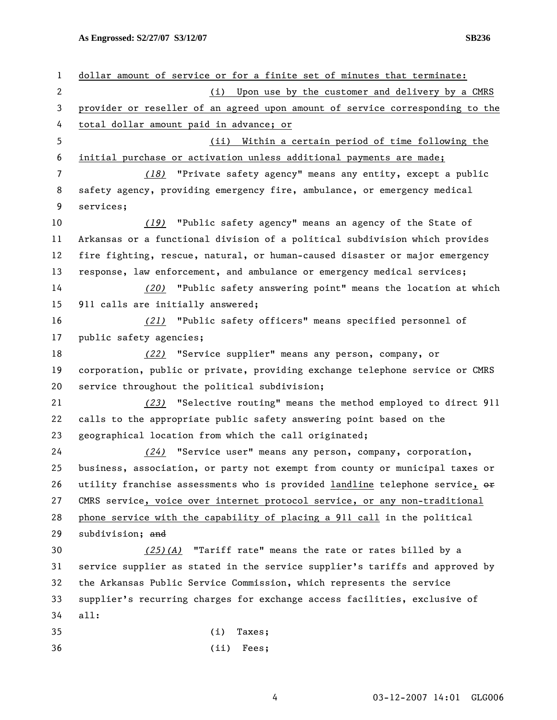1 dollar amount of service or for a finite set of minutes that terminate: 2 (i) Upon use by the customer and delivery by a CMRS 3 provider or reseller of an agreed upon amount of service corresponding to the 4 total dollar amount paid in advance; or 5 (ii) Within a certain period of time following the 6 initial purchase or activation unless additional payments are made; 7 *(18)* "Private safety agency" means any entity, except a public 8 safety agency, providing emergency fire, ambulance, or emergency medical 9 services; 10 *(19)* "Public safety agency" means an agency of the State of 11 Arkansas or a functional division of a political subdivision which provides 12 fire fighting, rescue, natural, or human-caused disaster or major emergency 13 response, law enforcement, and ambulance or emergency medical services; 14 *(20)* "Public safety answering point" means the location at which 15 911 calls are initially answered; 16 *(21)* "Public safety officers" means specified personnel of 17 public safety agencies; 18 *(22)* "Service supplier" means any person, company, or 19 corporation, public or private, providing exchange telephone service or CMRS 20 service throughout the political subdivision; 21 *(23)* "Selective routing" means the method employed to direct 911 22 calls to the appropriate public safety answering point based on the 23 geographical location from which the call originated; 24 *(24)* "Service user" means any person, company, corporation, 25 business, association, or party not exempt from county or municipal taxes or 26 utility franchise assessments who is provided landline telephone service,  $\Theta$ 27 CMRS service, voice over internet protocol service, or any non-traditional 28 phone service with the capability of placing a 911 call in the political 29 subdivision; and 30 *(25)(A)* "Tariff rate" means the rate or rates billed by a 31 service supplier as stated in the service supplier's tariffs and approved by 32 the Arkansas Public Service Commission, which represents the service 33 supplier's recurring charges for exchange access facilities, exclusive of 34 all: 35 (i) Taxes; 36 (ii) Fees;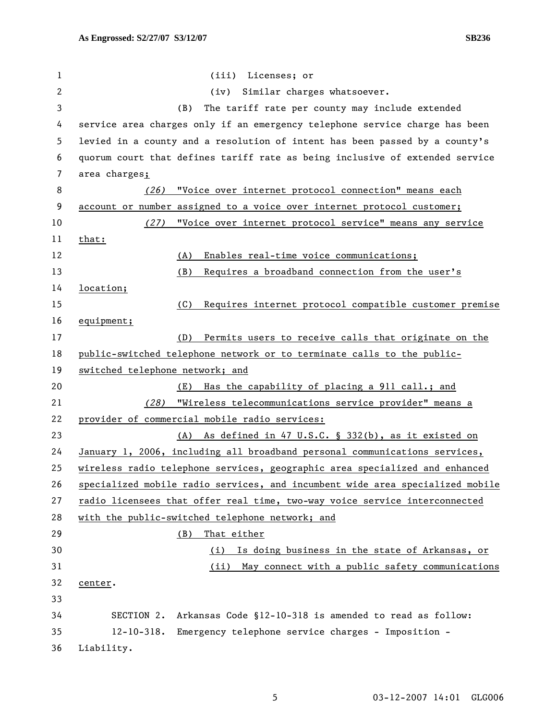| $\mathbf 1$  | (iii) Licenses; or                                                            |
|--------------|-------------------------------------------------------------------------------|
| $\mathbf{2}$ | Similar charges whatsoever.<br>(iv)                                           |
| 3            | The tariff rate per county may include extended<br>(B)                        |
| 4            | service area charges only if an emergency telephone service charge has been   |
| 5            | levied in a county and a resolution of intent has been passed by a county's   |
| 6            | quorum court that defines tariff rate as being inclusive of extended service  |
| 7            | area charges;                                                                 |
| 8            | "Voice over internet protocol connection" means each<br>(26)                  |
| 9            | account or number assigned to a voice over internet protocol customer;        |
| 10           | "Voice over internet protocol service" means any service<br>(27)              |
| 11           | that:                                                                         |
| 12           | Enables real-time voice communications;<br>(A)                                |
| 13           | Requires a broadband connection from the user's<br>(B)                        |
| 14           | location;                                                                     |
| 15           | Requires internet protocol compatible customer premise<br>(C)                 |
| 16           | equipment;                                                                    |
| 17           | Permits users to receive calls that originate on the<br>(D)                   |
| 18           | public-switched telephone network or to terminate calls to the public-        |
| 19           | switched telephone network; and                                               |
| 20           | Has the capability of placing a 911 call.; and<br>(E)                         |
| 21           | "Wireless telecommunications service provider" means a<br>(28)                |
| 22           | provider of commercial mobile radio services:                                 |
| 23           | (A) As defined in 47 U.S.C. § 332(b), as it existed on                        |
| 24           | January 1, 2006, including all broadband personal communications services,    |
| 25           | wireless radio telephone services, geographic area specialized and enhanced   |
| 26           | specialized mobile radio services, and incumbent wide area specialized mobile |
| 27           | radio licensees that offer real time, two-way voice service interconnected    |
| 28           | with the public-switched telephone network; and                               |
| 29           | That either<br>(B)                                                            |
| 30           | Is doing business in the state of Arkansas, or<br>(i)                         |
| 31           | May connect with a public safety communications<br>(ii)                       |
| 32           | center.                                                                       |
| 33           |                                                                               |
| 34           | Arkansas Code §12-10-318 is amended to read as follow:<br>SECTION 2.          |
| 35           | $12 - 10 - 318.$<br>Emergency telephone service charges - Imposition -        |
| 36           | Liability.                                                                    |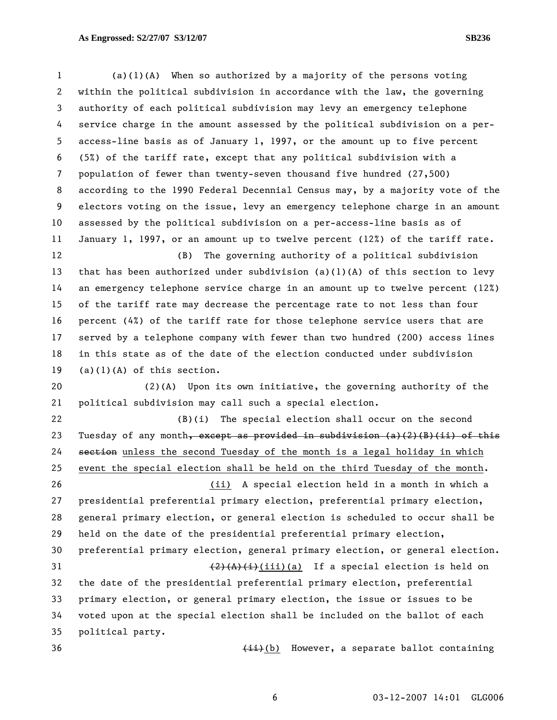1 (a)(1)(A) When so authorized by a majority of the persons voting 2 within the political subdivision in accordance with the law, the governing 3 authority of each political subdivision may levy an emergency telephone 4 service charge in the amount assessed by the political subdivision on a per-5 access-line basis as of January 1, 1997, or the amount up to five percent 6 (5%) of the tariff rate, except that any political subdivision with a 7 population of fewer than twenty-seven thousand five hundred (27,500) 8 according to the 1990 Federal Decennial Census may, by a majority vote of the 9 electors voting on the issue, levy an emergency telephone charge in an amount 10 assessed by the political subdivision on a per-access-line basis as of 11 January 1, 1997, or an amount up to twelve percent (12%) of the tariff rate. 12 (B) The governing authority of a political subdivision 13 that has been authorized under subdivision (a)(1)(A) of this section to levy 14 an emergency telephone service charge in an amount up to twelve percent (12%) 15 of the tariff rate may decrease the percentage rate to not less than four 16 percent (4%) of the tariff rate for those telephone service users that are 17 served by a telephone company with fewer than two hundred (200) access lines 18 in this state as of the date of the election conducted under subdivision 19  $(a)(1)(A)$  of this section. 20 (2)(A) Upon its own initiative, the governing authority of the 21 political subdivision may call such a special election. 22 (B)(i) The special election shall occur on the second 23 Tuesday of any month, except as provided in subdivision (a)(2)(B)(ii) of this 24 section unless the second Tuesday of the month is a legal holiday in which 25 event the special election shall be held on the third Tuesday of the month. 26 (ii) A special election held in a month in which a 27 presidential preferential primary election, preferential primary election, 28 general primary election, or general election is scheduled to occur shall be 29 held on the date of the presidential preferential primary election, 30 preferential primary election, general primary election, or general election. 31  $\left(\frac{2}{4}\right)\left(\frac{1}{1}\right)$  (a) If a special election is held on 32 the date of the presidential preferential primary election, preferential 33 primary election, or general primary election, the issue or issues to be 34 voted upon at the special election shall be included on the ballot of each 35 political party. 36 (<del>ii)</del>(b) However, a separate ballot containing

6 03-12-2007 14:01 GLG006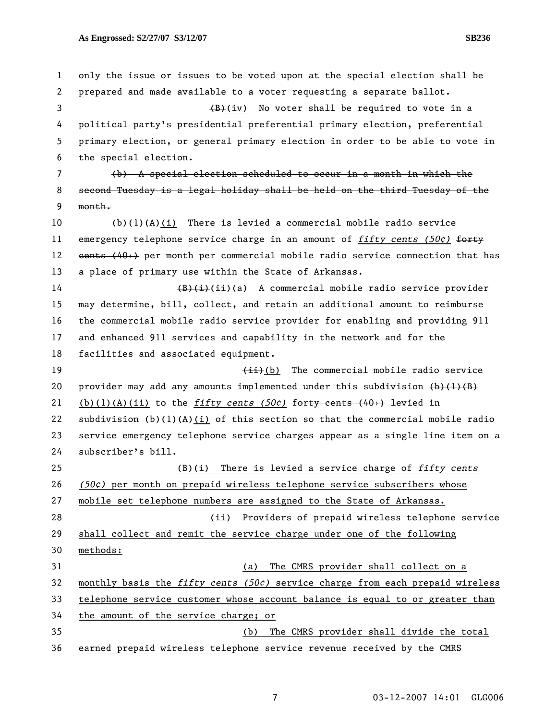1 only the issue or issues to be voted upon at the special election shall be 2 prepared and made available to a voter requesting a separate ballot.  $\left( \frac{B}{B} \right)$  (iv) No voter shall be required to vote in a 4 political party's presidential preferential primary election, preferential 5 primary election, or general primary election in order to be able to vote in 6 the special election. 7 (b) A special election scheduled to occur in a month in which the 8 second Tuesday is a legal holiday shall be held on the third Tuesday of the 9 month. 10 (b)(1)(A)(i) There is levied a commercial mobile radio service 11 emergency telephone service charge in an amount of *fifty cents (50¢)* forty 12 cents (40+) per month per commercial mobile radio service connection that has 13 a place of primary use within the State of Arkansas. 14 (B)(i)(i)(a) A commercial mobile radio service provider 15 may determine, bill, collect, and retain an additional amount to reimburse 16 the commercial mobile radio service provider for enabling and providing 911 17 and enhanced 911 services and capability in the network and for the 18 facilities and associated equipment. 19 19 (ii)(b) The commercial mobile radio service 20 provider may add any amounts implemented under this subdivision  $(b)$   $(1)$   $(B)$ 21 (b)(1)(A)(ii) to the *fifty cents (50¢)* forty cents (40›) levied in 22 subdivision  $(b)(1)(A)(i)$  of this section so that the commercial mobile radio 23 service emergency telephone service charges appear as a single line item on a 24 subscriber's bill. 25 (B)(i) There is levied a service charge of *fifty cents* 26 *(50¢)* per month on prepaid wireless telephone service subscribers whose 27 mobile set telephone numbers are assigned to the State of Arkansas. 28 (ii) Providers of prepaid wireless telephone service 29 shall collect and remit the service charge under one of the following 30 methods: 31 (a) The CMRS provider shall collect on a 32 monthly basis the *fifty cents (50¢)* service charge from each prepaid wireless 33 telephone service customer whose account balance is equal to or greater than 34 the amount of the service charge; or 35 (b) The CMRS provider shall divide the total 36 earned prepaid wireless telephone service revenue received by the CMRS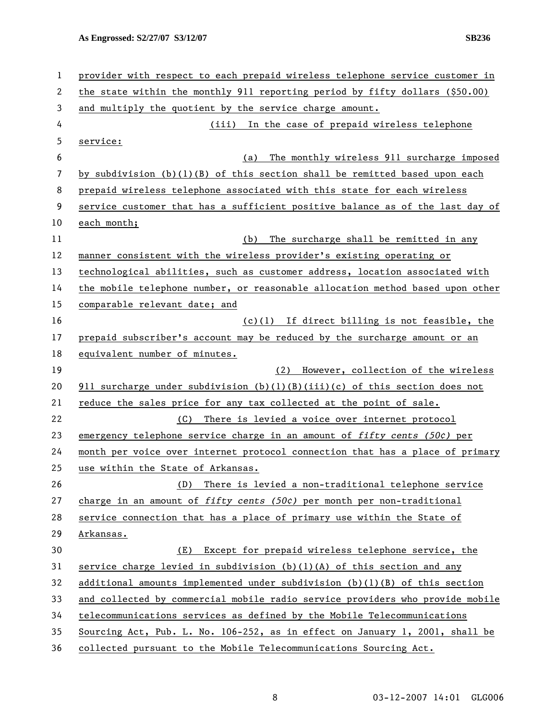| $\mathbf{1}$ | provider with respect to each prepaid wireless telephone service customer in  |
|--------------|-------------------------------------------------------------------------------|
| 2            | the state within the monthly 911 reporting period by fifty dollars (\$50.00)  |
| 3            | and multiply the quotient by the service charge amount.                       |
| 4            | (iii) In the case of prepaid wireless telephone                               |
| 5            | service:                                                                      |
| 6            | The monthly wireless 911 surcharge imposed<br>(a)                             |
| 7            | by subdivision $(b)(1)(B)$ of this section shall be remitted based upon each  |
| 8            | prepaid wireless telephone associated with this state for each wireless       |
| 9            | service customer that has a sufficient positive balance as of the last day of |
| 10           | each month;                                                                   |
| 11           | The surcharge shall be remitted in any<br>(b)                                 |
| 12           | manner consistent with the wireless provider's existing operating or          |
| 13           | technological abilities, such as customer address, location associated with   |
| 14           | the mobile telephone number, or reasonable allocation method based upon other |
| 15           | comparable relevant date; and                                                 |
| 16           | (c)(1) If direct billing is not feasible, the                                 |
| 17           | prepaid subscriber's account may be reduced by the surcharge amount or an     |
| 18           | equivalent number of minutes.                                                 |
| 19           | However, collection of the wireless<br>(2)                                    |
| 20           | 911 surcharge under subdivision $(b)(1)(B)(iii)(c)$ of this section does not  |
| 21           | reduce the sales price for any tax collected at the point of sale.            |
| 22           | There is levied a voice over internet protocol<br>(C)                         |
| 23           | emergency telephone service charge in an amount of fifty cents (50c) per      |
| 24           | month per voice over internet protocol connection that has a place of primary |
| 25           | use within the State of Arkansas.                                             |
| 26           | There is levied a non-traditional telephone service<br>(D)                    |
| 27           | charge in an amount of fifty cents (50 $c$ ) per month per non-traditional    |
| 28           | service connection that has a place of primary use within the State of        |
| 29           | Arkansas.                                                                     |
| 30           | Except for prepaid wireless telephone service, the<br>(E)                     |
| 31           | service charge levied in subdivision $(b)(1)(A)$ of this section and any      |
| 32           | additional amounts implemented under subdivision $(b)(1)(B)$ of this section  |
| 33           | and collected by commercial mobile radio service providers who provide mobile |
| 34           | telecommunications services as defined by the Mobile Telecommunications       |
| 35           | Sourcing Act, Pub. L. No. 106-252, as in effect on January 1, 2001, shall be  |
| 36           | collected pursuant to the Mobile Telecommunications Sourcing Act.             |

8 03-12-2007 14:01 GLG006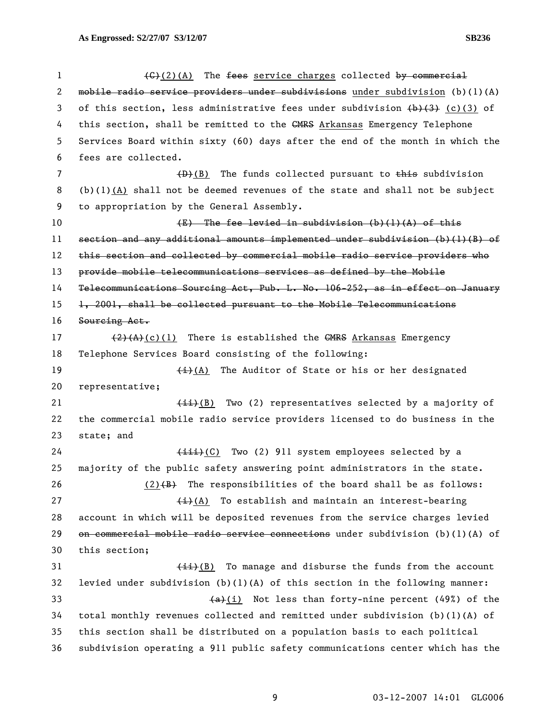| $\mathbf{1}$   | $\left(\frac{C}{2}(2)(A)\right)$ The fees service charges collected by commercial                                        |
|----------------|--------------------------------------------------------------------------------------------------------------------------|
| 2              | mobile radio service providers under subdivisions under subdivision $(b)(1)(A)$                                          |
| 3              | of this section, less administrative fees under subdivision $\left(\frac{b}{c}\right)\left(\frac{c}{3}\right)$ (c)(3) of |
| 4              | this section, shall be remitted to the GMRS Arkansas Emergency Telephone                                                 |
| 5              | Services Board within sixty (60) days after the end of the month in which the                                            |
| 6              | fees are collected.                                                                                                      |
| $\overline{7}$ | $(D)$ The funds collected pursuant to this subdivision                                                                   |
| 8              | $(b)(1)(A)$ shall not be deemed revenues of the state and shall not be subject                                           |
| 9              | to appropriation by the General Assembly.                                                                                |
| 10             | $(E)$ The fee levied in subdivision (b)(l)(A) of this                                                                    |
| 11             | section and any additional amounts implemented under subdivision $(b)(1)(B)$ of                                          |
| 12             | this section and collected by commercial mobile radio service providers who                                              |
| 13             | provide mobile telecommunications services as defined by the Mobile                                                      |
| 14             | Telecommunications Sourcing Act, Pub. L. No. 106-252, as in effect on January                                            |
| 15             | 1, 2001, shall be collected pursuant to the Mobile Telecommunications                                                    |
| 16             | Sourcing Act.                                                                                                            |
| 17             | $(2)$ $(A)$ (c)(1) There is established the GMRS Arkansas Emergency                                                      |
| 18             | Telephone Services Board consisting of the following:                                                                    |
| 19             | $\frac{1}{i}(A)$ The Auditor of State or his or her designated                                                           |
| 20             | representative;                                                                                                          |
| 21             | $\overline{(\pm \pm)}$ (B) Two (2) representatives selected by a majority of                                             |
| 22             | the commercial mobile radio service providers licensed to do business in the                                             |
| 23             | state; and                                                                                                               |
| 24             | (iii)(C) Two (2) 911 system employees selected by a                                                                      |
| 25             | majority of the public safety answering point administrators in the state.                                               |
| 26             | $(2)$ $(4)$ The responsibilities of the board shall be as follows:                                                       |
| 27             | $\overline{(+)}$ (A) To establish and maintain an interest-bearing                                                       |
| 28             | account in which will be deposited revenues from the service charges levied                                              |
| 29             | on commercial mobile radio service connections under subdivision $(b)(1)(A)$ of                                          |
| 30             | this section;                                                                                                            |
| 31             | $\overbrace{1}$ (B) To manage and disburse the funds from the account                                                    |
| 32             | levied under subdivision $(b)(1)(A)$ of this section in the following manner:                                            |
| 33             | $(a)$ (i) Not less than forty-nine percent (49%) of the                                                                  |
| 34             | total monthly revenues collected and remitted under subdivision $(b)(1)(A)$ of                                           |
| 35             | this section shall be distributed on a population basis to each political                                                |
| 36             | subdivision operating a 911 public safety communications center which has the                                            |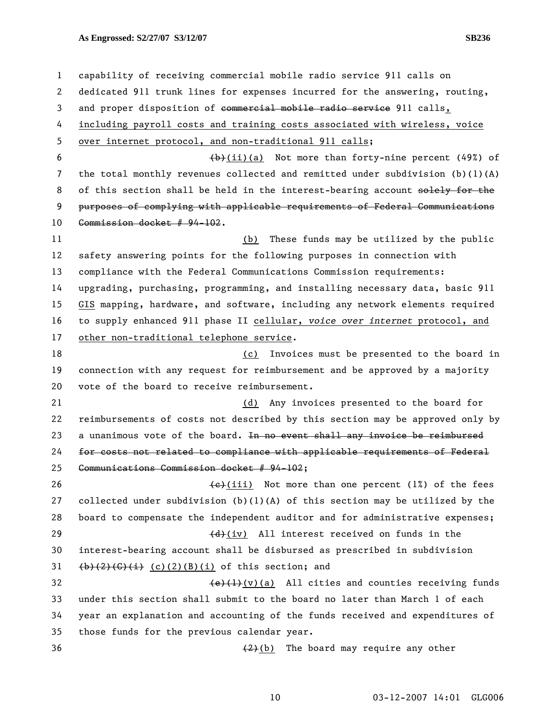1 capability of receiving commercial mobile radio service 911 calls on 2 dedicated 911 trunk lines for expenses incurred for the answering, routing, 3 and proper disposition of commercial mobile radio service 911 calls, 4 including payroll costs and training costs associated with wireless, voice 5 over internet protocol, and non-traditional 911 calls; 6  $\left(\frac{b}{i}\right)(a)$  Not more than forty-nine percent (49%) of 7 the total monthly revenues collected and remitted under subdivision (b)(1)(A) 8 of this section shall be held in the interest-bearing account solely for the 9 purposes of complying with applicable requirements of Federal Communications 10 Commission docket # 94-102. 11 (b) These funds may be utilized by the public 12 safety answering points for the following purposes in connection with 13 compliance with the Federal Communications Commission requirements: 14 upgrading, purchasing, programming, and installing necessary data, basic 911 15 GIS mapping, hardware, and software, including any network elements required 16 to supply enhanced 911 phase II cellular, *voice over internet* protocol, and 17 other non-traditional telephone service. 18 (c) Invoices must be presented to the board in 19 connection with any request for reimbursement and be approved by a majority 20 vote of the board to receive reimbursement. 21 (d) Any invoices presented to the board for 22 reimbursements of costs not described by this section may be approved only by 23 a unanimous vote of the board. In no event shall any invoice be reimbursed 24 for costs not related to compliance with applicable requirements of Federal 25 Communications Commission docket # 94-102; 26  $\leftarrow$  (iii) Not more than one percent (1%) of the fees 27 collected under subdivision  $(b)(1)(A)$  of this section may be utilized by the 28 board to compensate the independent auditor and for administrative expenses; 29  $\left(\frac{d}{d}\right)(iv)$  All interest received on funds in the 30 interest-bearing account shall be disbursed as prescribed in subdivision 31  $(b)$ (2)(G)(i) (c)(2)(B)(i) of this section; and 32  $(e)(1)(v)(a)$  All cities and counties receiving funds 33 under this section shall submit to the board no later than March 1 of each 34 year an explanation and accounting of the funds received and expenditures of 35 those funds for the previous calendar year.  $\left\{2\right\}(b)$  The board may require any other

10 03-12-2007 14:01 GLG006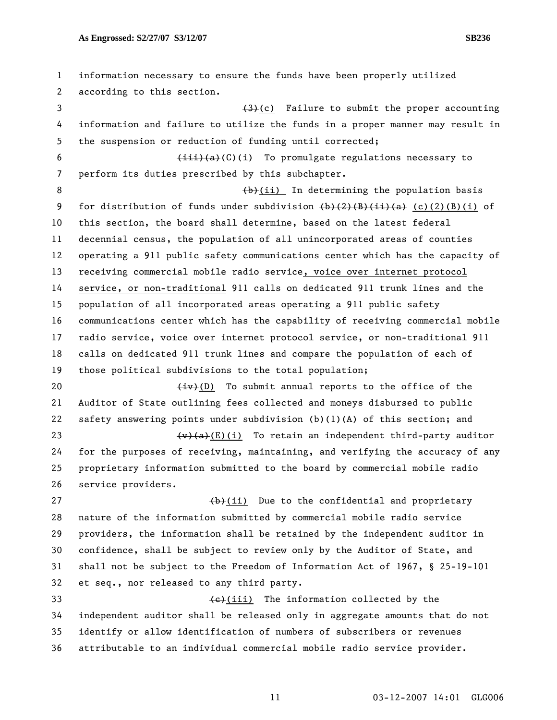1 information necessary to ensure the funds have been properly utilized 2 according to this section. 3 (3)(c) Failure to submit the proper accounting 4 information and failure to utilize the funds in a proper manner may result in 5 the suspension or reduction of funding until corrected; 6  $\leftarrow$   $\leftarrow$   $\leftarrow$   $\leftarrow$   $\leftarrow$   $\leftarrow$   $\leftarrow$   $\leftarrow$   $\leftarrow$   $\leftarrow$   $\leftarrow$   $\leftarrow$   $\leftarrow$   $\leftarrow$   $\leftarrow$   $\leftarrow$   $\leftarrow$   $\leftarrow$   $\leftarrow$   $\leftarrow$   $\leftarrow$   $\leftarrow$   $\leftarrow$   $\leftarrow$   $\leftarrow$   $\leftarrow$   $\leftarrow$   $\leftarrow$   $\leftarrow$   $\leftarrow$   $\leftarrow$   $\leftarrow$   $\leftarrow$   $\leftarrow$   $\leftarrow$   $\leftarrow$   $\left$ 7 perform its duties prescribed by this subchapter. 8 (b)(ii) In determining the population basis 9 for distribution of funds under subdivision  $\{\frac{b}{2}\}\frac{2}{B}\frac{1}{B}\frac{1}{A}$  (c)(2)(B)(i) of 10 this section, the board shall determine, based on the latest federal 11 decennial census, the population of all unincorporated areas of counties 12 operating a 911 public safety communications center which has the capacity of 13 receiving commercial mobile radio service, voice over internet protocol 14 service, or non-traditional 911 calls on dedicated 911 trunk lines and the 15 population of all incorporated areas operating a 911 public safety 16 communications center which has the capability of receiving commercial mobile 17 radio service, voice over internet protocol service, or non-traditional 911 18 calls on dedicated 911 trunk lines and compare the population of each of 19 those political subdivisions to the total population; 20  $\leftarrow$   $\leftarrow$   $\leftarrow$  (D) To submit annual reports to the office of the 21 Auditor of State outlining fees collected and moneys disbursed to public 22 safety answering points under subdivision (b)(1)(A) of this section; and 23  $\left(v\right)(a)(E)(i)$  To retain an independent third-party auditor 24 for the purposes of receiving, maintaining, and verifying the accuracy of any 25 proprietary information submitted to the board by commercial mobile radio 26 service providers. 27  $\left(\frac{b}{c}\right)$  (ii) Due to the confidential and proprietary 28 nature of the information submitted by commercial mobile radio service 29 providers, the information shall be retained by the independent auditor in 30 confidence, shall be subject to review only by the Auditor of State, and 31 shall not be subject to the Freedom of Information Act of 1967, § 25-19-101 32 et seq., nor released to any third party. 33 (e)(iii) The information collected by the 34 independent auditor shall be released only in aggregate amounts that do not 35 identify or allow identification of numbers of subscribers or revenues 36 attributable to an individual commercial mobile radio service provider.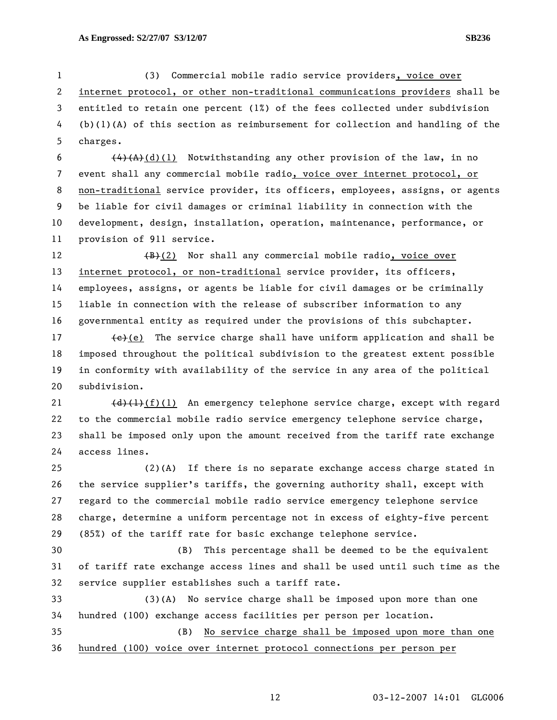1 (3) Commercial mobile radio service providers, voice over 2 internet protocol, or other non-traditional communications providers shall be 3 entitled to retain one percent (1%) of the fees collected under subdivision 4 (b)(1)(A) of this section as reimbursement for collection and handling of the 5 charges.

6  $\left(4\right)\left(A\right)\left(1\right)$  Notwithstanding any other provision of the law, in no 7 event shall any commercial mobile radio, voice over internet protocol, or 8 non-traditional service provider, its officers, employees, assigns, or agents 9 be liable for civil damages or criminal liability in connection with the 10 development, design, installation, operation, maintenance, performance, or 11 provision of 911 service.

12  $\left(\frac{B}{B}\right)(2)$  Nor shall any commercial mobile radio, voice over 13 internet protocol, or non-traditional service provider, its officers, 14 employees, assigns, or agents be liable for civil damages or be criminally 15 liable in connection with the release of subscriber information to any 16 governmental entity as required under the provisions of this subchapter.

17  $\left\{\epsilon\right\}$ (e) The service charge shall have uniform application and shall be 18 imposed throughout the political subdivision to the greatest extent possible 19 in conformity with availability of the service in any area of the political 20 subdivision.

21  $(d)$   $(l)$  (1) An emergency telephone service charge, except with regard 22 to the commercial mobile radio service emergency telephone service charge, 23 shall be imposed only upon the amount received from the tariff rate exchange 24 access lines.

25 (2)(A) If there is no separate exchange access charge stated in 26 the service supplier's tariffs, the governing authority shall, except with 27 regard to the commercial mobile radio service emergency telephone service 28 charge, determine a uniform percentage not in excess of eighty-five percent 29 (85%) of the tariff rate for basic exchange telephone service.

30 (B) This percentage shall be deemed to be the equivalent 31 of tariff rate exchange access lines and shall be used until such time as the 32 service supplier establishes such a tariff rate.

33 (3)(A) No service charge shall be imposed upon more than one 34 hundred (100) exchange access facilities per person per location.

35 (B) No service charge shall be imposed upon more than one 36 hundred (100) voice over internet protocol connections per person per